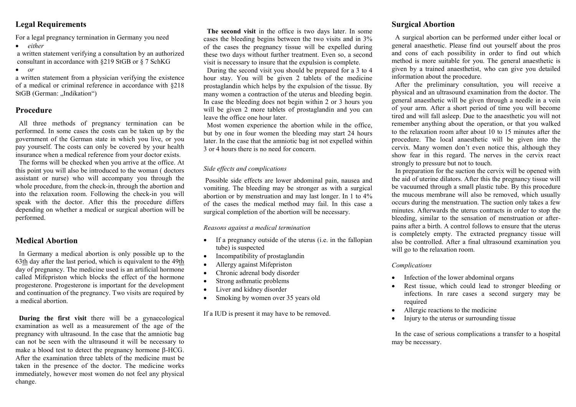# Legal Requirements

For a legal pregnancy termination in Germany you need

*either*

a written statement verifying a consultation by an authorized consultant in accordance with §219 StGB or § 7 SchKG

*or*

a written statement from a physician verifying the existence of a medical or criminal reference in accordance with §218 StGB (German: ..Indikation")

# Procedure

All three methods of pregnancy termination can be performed. In some cases the costs can be taken up by the government of the German state in which you live, or you pay yourself. The costs can only be covered by your health insurance when a medical reference from your doctor exists.

The forms will be checked when you arrive at the office. At this point you will also be introduced to the woman ( doctors assistant or nurse) who will accompany you through the whole procedure, from the check-in, through the abortion and into the relaxation room. Following the check-in you will speak with the doctor. After this the procedure differs depending on whether a medical or surgical abortion will be performed.

# Medical Abortion

In Germany a medical abortion is only possible up to the 63th day after the last period, which is equivalent to the 49th day of pregnancy. The medicine used is an artificial hormone called Mifepriston which blocks the effect of the hormone progesterone. Progesterone is important for the development and continuation of the pregnancy. Two visits are required by a medical abortion.

During the first visit there will be a gynaecological examination as well as a measurement of the age of the pregnancy with ultrasound. In the case that the amniotic bag can not be seen with the ultrasound it will be necessary to make a blood test to detect the pregnancy hormone  $\beta$ -HCG. After the examination three tablets of the medicine must be taken in the presence of the doctor. The medicine works immediately, however most women do not feel any physical change.

The second visit in the office is two days later. In some cases the bleeding begins between the two visits and in 3% of the cases the pregnancy tissue will be expelled during these two days without further treatment. Even so, a second visit is necessary to insure that the expulsion is complete.

During the second visit you should be prepared for a 3 to 4 hour stay. You will be given 2 tablets of the medicine prostaglandin which helps by the expulsion of the tissue. By many women a contraction of the uterus and bleeding begin. In case the bleeding does not begin within 2 or 3 hours you will be given 2 more tablets of prostaglandin and you can leave the office one hour later.

Most women experience the abortion while in the office, but by one in four women the bleeding may start 24 hours later. In the case that the amniotic bag ist not expelled within 3 or 4 hours there is no need for concern.

#### *Side effects and complications*

Possible side effects are lower abdominal pain, nausea and vomiting. The bleeding may be stronger as with a surgical abortion or by menstruation and may last longer. In 1 to 4% of the cases the medical method may fail. In this case a surgical completion of the abortion will be necessary.

#### *Reasons against a medical termination*

- If a pregnancy outside of the uterus (i.e. in the fallopian tube) is suspected
- Incompatibility of prostaglandin
- Allergy against Mifepriston
- Chronic adrenal body disorder
- Strong asthmatic problems
- Liver and kidney disorder
- Smoking by women over 35 years old

If a IUD is present it may have to be removed.

# Surgical Abortion

A surgical abortion can be performed under either local or general anaesthetic. Please find out yourself about the pros and cons of each possibility in order to find out which method is more suitable for you. The general anaesthetic is given by a trained anaesthetist, who can give you detailed information about the procedure.

After the preliminary consultation, you will receive a physical and an ultrasound examination from the doctor. The general anaesthetic will be given through a needle in a vein of your arm. After a short period of time you will become tired and will fall asleep. Due to the anaesthetic you will not remember anything about the operation, or that you walked to the relaxation room after about 10 to 15 minutes after the procedure. The local anaesthetic will be given into the cervix. Many women don't even notice this, although they show fear in this regard. The nerves in the cervix react strongly to pressure but not to touch.

In preparation for the suction the cervix will be opened with the aid of uterine dilators. After this the pregnancy tissue will be vacuumed through a small plastic tube. By this procedure the mucous membrane will also be removed, which usually occurs during the menstruation. The suction only takes a few minutes. Afterwards the uterus contracts in order to stop the bleeding, similar to the sensation of menstruation or afterpains after a birth. A control follows to ensure that the uterus is completely empty. The extracted pregnancy tissue will also be controlled. After a final ultrasound examination you will go to the relaxation room.

#### *Complications*

- Infection of the lower abdominal organs
- Rest tissue, which could lead to stronger bleeding or infections. In rare cases a second surgery may be required
- Allergic reactions to the medicine
- Injury to the uterus or surrounding tissue

In the case of serious complications a transfer to a hospital may be necessary.